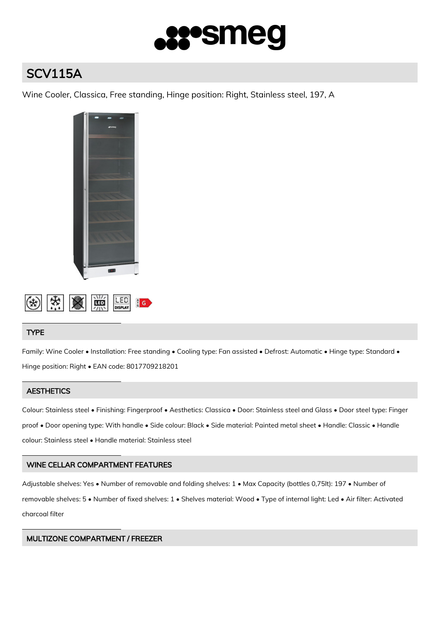

# SCV115A

Wine Cooler, Classica, Free standing, Hinge position: Right, Stainless steel, 197, A





## TYPE

Family: Wine Cooler • Installation: Free standing • Cooling type: Fan assisted • Defrost: Automatic • Hinge type: Standard • Hinge position: Right • EAN code: 8017709218201

# **AESTHETICS**

Colour: Stainless steel • Finishing: Fingerproof • Aesthetics: Classica • Door: Stainless steel and Glass • Door steel type: Finger proof • Door opening type: With handle • Side colour: Black • Side material: Painted metal sheet • Handle: Classic • Handle colour: Stainless steel • Handle material: Stainless steel

## WINE CELLAR COMPARTMENT FEATURES

Adjustable shelves: Yes • Number of removable and folding shelves: 1 • Max Capacity (bottles 0,75lt): 197 • Number of removable shelves: 5 • Number of fixed shelves: 1 • Shelves material: Wood • Type of internal light: Led • Air filter: Activated charcoal filter

## MULTIZONE COMPARTMENT / FREEZER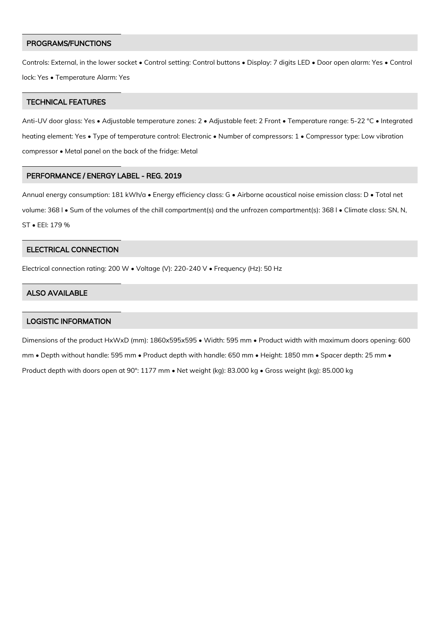#### PROGRAMS/FUNCTIONS

Controls: External, in the lower socket • Control setting: Control buttons • Display: 7 digits LED • Door open alarm: Yes • Control lock: Yes • Temperature Alarm: Yes

#### TECHNICAL FEATURES

Anti-UV door glass: Yes • Adjustable temperature zones: 2 • Adjustable feet: 2 Front • Temperature range: 5-22 °C • Integrated heating element: Yes • Type of temperature control: Electronic • Number of compressors: 1 • Compressor type: Low vibration compressor • Metal panel on the back of the fridge: Metal

#### PERFORMANCE / ENERGY LABEL - REG. 2019

Annual energy consumption: 181 kWh/a • Energy efficiency class: G • Airborne acoustical noise emission class: D • Total net volume: 368 l • Sum of the volumes of the chill compartment(s) and the unfrozen compartment(s): 368 l • Climate class: SN, N, ST • EEI: 179 %

## ELECTRICAL CONNECTION

Electrical connection rating: 200 W • Voltage (V): 220-240 V • Frequency (Hz): 50 Hz

#### ALSO AVAILABLE

#### LOGISTIC INFORMATION

Dimensions of the product HxWxD (mm): 1860x595x595 • Width: 595 mm • Product width with maximum doors opening: 600 mm • Depth without handle: 595 mm • Product depth with handle: 650 mm • Height: 1850 mm • Spacer depth: 25 mm • Product depth with doors open at 90°: 1177 mm • Net weight (kg): 83.000 kg • Gross weight (kg): 85.000 kg